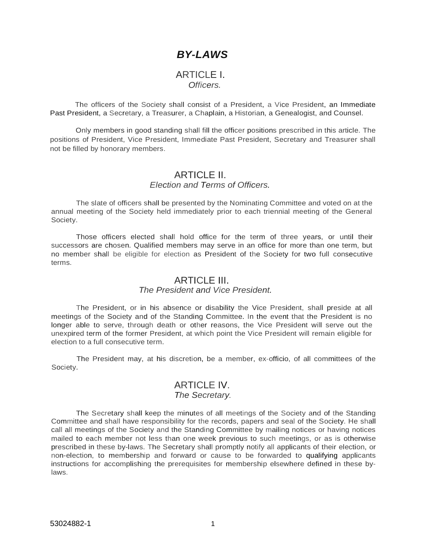# *BY-LAWS*

### ARTICLE I. *Officers.*

The officers of the Society shall consist of a President, a Vice President, an Immediate Past President, a Secretary, a Treasurer, a Chaplain, a Historian, a Genealogist, and Counsel.

Only members in good standing shall fill the officer positions prescribed in this article. The positions of President, Vice President, Immediate Past President, Secretary and Treasurer shall not be filled by honorary members.

### ARTICLE II. *Election and Terms of Officers.*

The slate of officers shall be presented by the Nominating Committee and voted on at the annual meeting of the Society held immediately prior to each triennial meeting of the General Society.

Those officers elected shall hold office for the term of three years, or until their successors are chosen. Qualified members may serve in an office for more than one term, but no member shall be eligible for election as President of the Society for two full consecutive terms.

# **ARTICLE III**

### *The President and Vice President.*

The President, or in his absence or disability the Vice President, shall preside at all meetings of the Society and of the Standing Committee. In the event that the President is no longer able to serve, through death or other reasons, the Vice President will serve out the unexpired term of the former President, at which point the Vice President will remain eligible for election to a full consecutive term.

The President may, at his discretion, be a member, ex-officio, of all committees of the Society.

### ARTICLE IV. *The Secretary.*

The Secretary shall keep the minutes of all meetings of the Society and of the Standing Committee and shall have responsibility for the records, papers and seal of the Society. He shall call all meetings of the Society and the Standing Committee by mailing notices or having notices mailed to each member not less than one week previous to such meetings, or as is otherwise prescribed in these by-laws. The Secretary shall promptly notify all applicants of their election, or non-election, to membership and forward or cause to be forwarded to qualifying applicants instructions for accomplishing the prerequisites for membership elsewhere defined in these bylaws.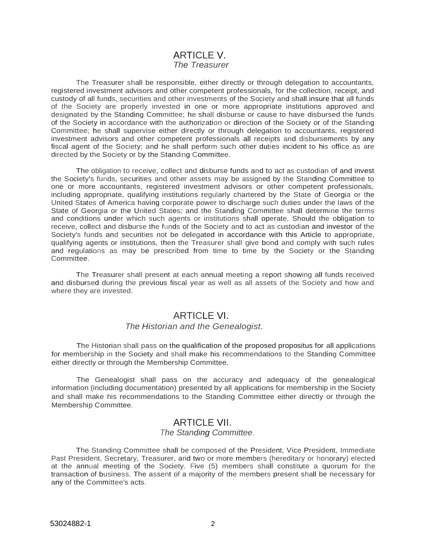# ARTICLE V. *The Treasurer*

The Treasurer shall be responsible, either directly or through delegation to accountants, registered investment advisors and other competent professionals, for the collection, receipt, and custody of all funds, securities and other investments of the Society and shall insure that all funds of the Society are properly invested in one or more appropriate institutions approved and designated by the Standing Committee; he shall disburse or cause to have disbursed the funds of the Society in accordance with the authorization or direction of the Society or of the Standing Committee; he shall supervise either directly or through delegation to accountants, registered investment advisors and other competent professionals all receipts and disbursements by any fiscal agent of the Society; and he shall perform such other duties incident to his office as are directed by the Society or by the Standing Committee.

The obligation to receive, collect and disburse funds and to act as custodian of and invest the Society's funds, securities and other assets may be assigned by the Standing Committee to one or more accountants, registered investment advisors or other competent professionals, including appropriate, qualifying institutions regularly chartered by the State of Georgia or the United States of America having corporate power to discharge such duties under the laws of the State of Georgia or the United States; and the Standing Committee shall determine the terms and conditions under which such agents or institutions shall operate. Should the obligation to receive, collect and disburse the funds of the Society and to act as custodian and investor of the Society's funds and securities not be delegated in accordance with this Article to appropriate, qualifying agents or institutions, then the Treasurer shall give bond and comply with such rules and regulations as may be prescribed from time to time by the Society or the Standing Committee.

The Treasurer shall present at each annual meeting a report showing all funds received and disbursed during the previous fiscal year as well as all assets of the Society and how and where they are invested.

# ARTICLE VI.

### *The Historian and the Genealogist*.

The Historian shall pass on the qualification of the proposed propositus for all applications for membership in the Society and shall make his recommendations to the Standing Committee either directly or through the Membership Committee.

The Genealogist shall pass on the accuracy and adequacy of the genealogical information (including documentation) presented by all applications for membership in the Society and shall make his recommendations to the Standing Committee either directly or through the Membership Committee.

### ARTICLE VII. *The Standing Committee.*

The Standing Committee shall be composed of the President, Vice President, Immediate Past President, Secretary, Treasurer, and two or more members (hereditary or honorary) elected at the annual meeting of the Society. Five (5) members shall constitute a quorum for the transaction of business. The assent of a majority of the members present shall be necessary for any of the Committee's acts.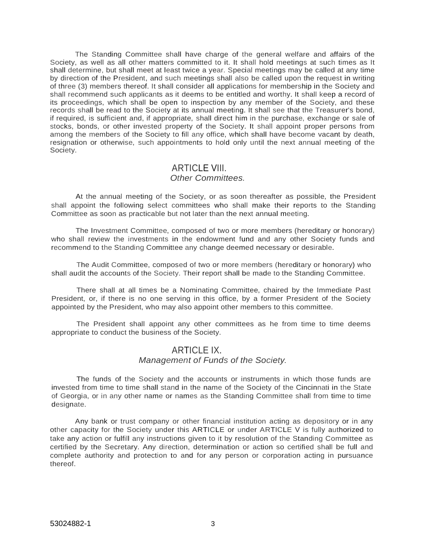The Standing Committee shall have charge of the general welfare and affairs of the Society, as well as all other matters committed to it. It shall hold meetings at such times as It shall determine, but shall meet at least twice a year. Special meetings may be called at any time by direction of the President, and such meetings shall also be called upon the request in writing of three (3) members thereof. It shall consider all applications for membership in the Society and shall recommend such applicants as it deems to be entitled and worthy. It shall keep a record of its proceedings, which shall be open to inspection by any member of the Society, and these records shall be read to the Society at its annual meeting. It shall see that the Treasurer's bond, if required, is sufficient and, if appropriate, shall direct him in the purchase, exchange or sale of stocks, bonds, or other invested property of the Society. It shall appoint proper persons from among the members of the Society to fill any office, which shall have become vacant by death, resignation or otherwise, such appointments to hold only until the next annual meeting of the Society.

### ARTICLE VIII. *Other Committees.*

At the annual meeting of the Society, or as soon thereafter as possible, the President shall appoint the following select committees who shall make their reports to the Standing Committee as soon as practicable but not later than the next annual meeting.

The Investment Committee, composed of two or more members (hereditary or honorary) who shall review the investments in the endowment fund and any other Society funds and recommend to the Standing Committee any change deemed necessary or desirable.

The Audit Committee, composed of two or more members (hereditary or honorary) who shall audit the accounts of the Society. Their report shall be made to the Standing Committee.

There shall at all times be a Nominating Committee, chaired by the Immediate Past President, or, if there is no one serving in this office, by a former President of the Society appointed by the President, who may also appoint other members to this committee.

The President shall appoint any other committees as he from time to time deems appropriate to conduct the business of the Society.

### ARTICLE IX. *Management of Funds of the Society.*

The funds of the Society and the accounts or instruments in which those funds are invested from time to time shall stand in the name of the Society of the Cincinnati in the State of Georgia, or in any other name or names as the Standing Committee shall from time to time designate.

Any bank or trust company or other financial institution acting as depository or in any other capacity for the Society under this ARTICLE or under ARTICLE V is fully authorized to take any action or fulfill any instructions given to it by resolution of the Standing Committee as certified by the Secretary. Any direction, determination or action so certified shall be full and complete authority and protection to and for any person or corporation acting in pursuance thereof.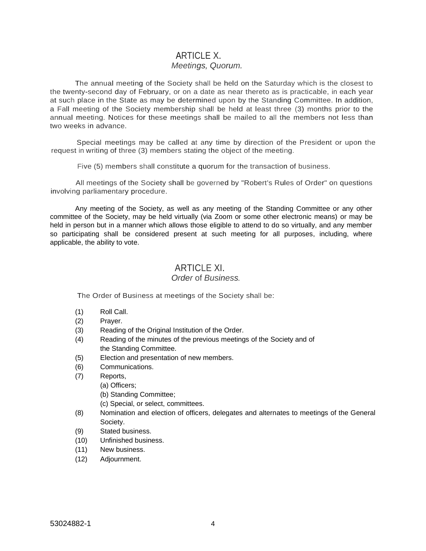# ARTICLE X. *Meetings, Quorum.*

The annual meeting of the Society shall be held on the Saturday which is the closest to the twenty-second day of February, or on a date as near thereto as is practicable, in each year at such place in the State as may be determined upon by the Standing Committee. In addition, a Fall meeting of the Society membership shall be held at least three (3) months prior to the annual meeting. Notices for these meetings shall be mailed to all the members not less than two weeks in advance.

Special meetings may be called at any time by direction of the President or upon the request in writing of three (3) members stating the object of the meeting.

Five (5) members shall constitute a quorum for the transaction of business.

All meetings of the Society shall be governed by "Robert's Rules of Order" on questions involving parliamentary procedure.

Any meeting of the Society, as well as any meeting of the Standing Committee or any other committee of the Society, may be held virtually (via Zoom or some other electronic means) or may be held in person but in a manner which allows those eligible to attend to do so virtually, and any member so participating shall be considered present at such meeting for all purposes, including, where applicable, the ability to vote.

# ARTICLE XI.

#### *Order* of *Business.*

The Order of Business at meetings of the Society shall be:

- (1) Roll Call.
- (2) Prayer.
- (3) Reading of the Original Institution of the Order.
- (4) Reading of the minutes of the previous meetings of the Society and of the Standing Committee.
- (5) Election and presentation of new members.
- (6) Communications.
- (7) Reports,
	- (a) Officers;
		- (b) Standing Committee;
		- (c) Special, or select, committees.
- (8) Nomination and election of officers, delegates and alternates to meetings of the General Society.
- (9) Stated business.
- (10) Unfinished business.
- (11) New business.
- (12) Adjournment.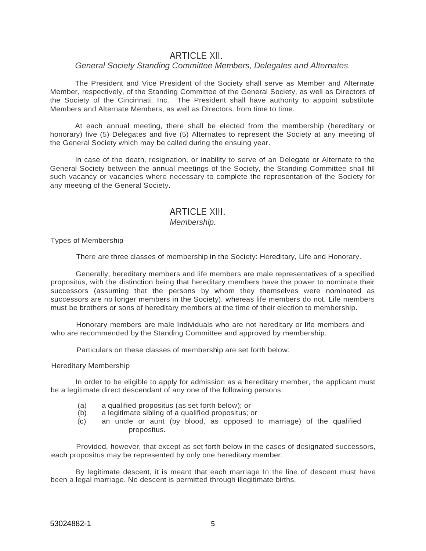### ARTICLE XII.

### *General Society Standing Committee Members, Delegates and Alternates.*

The President and Vice President of the Society shall serve as Member and Alternate Member, respectively, of the Standing Committee of the General Society, as well as Directors of the Society of the Cincinnati, Inc. The President shall have authority to appoint substitute Members and Alternate Members, as well as Directors, from time to time.

At each annual meeting, there shall be elected from the membership (hereditary or honorary) five (5) Delegates and five (5) Alternates to represent the Society at any meeting of the General Society which may be called during the ensuing year.

In case of the death, resignation, or inability to serve of an Delegate or Alternate to the General Society between the annual meetings of the Society, the Standing Committee shall fill such vacancy or vacancies where necessary to complete the representation of the Society for any meeting of the General Society.

# ARTICLE XIII. *Membership.*

#### Types of Membership

There are three classes of membership in the Society: Hereditary, Life and Honorary.

Generally, hereditary members and life members are male representatives of a specified propositus, with the distinction being that hereditary members have the power to nominate their successors (assuming that the persons by whom they themselves were nominated as successors are no longer members in the Society). whereas life members do not. Life members must be brothers or sons of hereditary members at the time of their election to membership.

Honorary members are male Individuals who are not hereditary or life members and who are recommended by the Standing Committee and approved by membership.

Particulars on these classes of membership are set forth below:

#### Hereditary Membership

In order to be eligible to apply for admission as a hereditary member, the applicant must be a legitimate direct descendant of any one of the following persons:

- (a) a qualified propositus (as set forth below); or
- (b) a legitimate sibling of a qualified propositus; or
- (c) an uncle or aunt (by blood, as opposed to marriage) of the qualified propositus.

Provided. however, that except as set forth below in the cases of designated successors, each propositus may be represented by only one hereditary member.

By legitimate descent, it is meant that each marriage In the line of descent must have been a legal marriage. No descent is permitted through illegitimate births.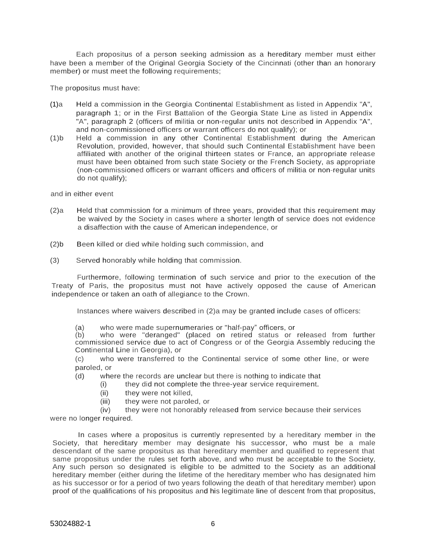Each propositus of a person seeking admission as a hereditary member must either have been a member of the Original Georgia Society of the Cincinnati (other than an honorary member) or must meet the following requirements;

The propositus must have:

- (1)a Held a commission in the Georgia Continental Establishment as listed in Appendix "A", paragraph 1; or in the First Battalion of the Georgia State Line as listed in Appendix "A", paragraph 2 (officers of militia or non-regular units not described in Appendix "A", and non-commissioned officers or warrant officers do not qualify); or
- (1)b Held a commission in any other Continental Establishment during the American Revolution, provided, however, that should such Continental Establishment have been affiliated with another of the original thirteen states or France, an appropriate release must have been obtained from such state Society or the French Society, as appropriate (non-commissioned officers or warrant officers and officers of militia or non-regular units do not qualify);

and in either event

- (2)a Held that commission for a minimum of three years, provided that this requirement may be waived by the Society in cases where a shorter length of service does not evidence a disaffection with the cause of American independence, or
- (2)b Been killed or died while holding such commission, and
- (3) Served honorably while holding that commission.

Furthermore, following termination of such service and prior to the execution of the Treaty of Paris, the propositus must not have actively opposed the cause of American independence or taken an oath of allegiance to the Crown.

Instances where waivers described in (2)a may be granted include cases of officers:

(a) who were made supernumeraries or "half-pay" officers, or

(b) who were "deranged" (placed on retired status or released from further commissioned service due to act of Congress or of the Georgia Assembly reducing the Continental Line in Georgia), or

(c) who were transferred to the Continental service of some other line, or were paroled, or

(d) where the records are unclear but there is nothing to indicate that

- (i) they did not complete the three-year service requirement.
- (ii) they were not killed,
- (iii) they were not paroled, or
- (iv) they were not honorably released from service because their services

were no longer required.

In cases where a propositus is currently represented by a hereditary member in the Society, that hereditary member may designate his successor, who must be a male descendant of the same propositus as that hereditary member and qualified to represent that same propositus under the rules set forth above, and who must be acceptable to the Society, Any such person so designated is eligible to be admitted to the Society as an additional hereditary member (either during the lifetime of the hereditary member who has designated him as his successor or for a period of two years following the death of that hereditary member) upon proof of the qualifications of his propositus and his legitimate line of descent from that propositus,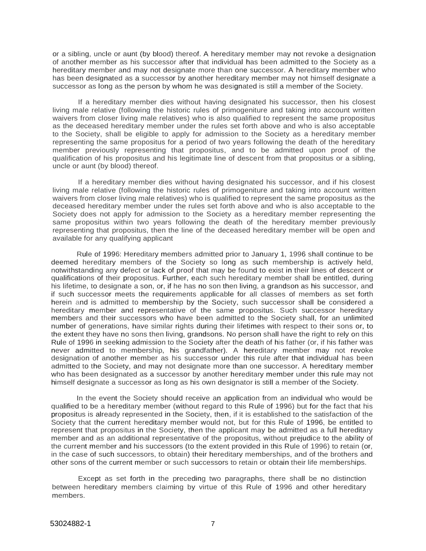or a sibling, uncle or aunt (by blood) thereof. A hereditary member may not revoke a designation of another member as his successor after that individual has been admitted to the Society as a hereditary member and may not designate more than one successor. A hereditary member who has been designated as a successor by another hereditary member may not himself designate a successor as long as the person by whom he was designated is still a member of the Society.

If a hereditary member dies without having designated his successor, then his closest living male relative (following the historic rules of primogeniture and taking into account written waivers from closer living male relatives) who is also qualified to represent the same propositus as the deceased hereditary member under the rules set forth above and who is also acceptable to the Society, shall be eligible to apply for admission to the Society as a hereditary member representing the same propositus for a period of two years following the death of the hereditary member previously representing that propositus, and to be admitted upon proof of the qualification of his propositus and his legitimate line of descent from that propositus or a sibling, uncle or aunt (by blood) thereof.

If a hereditary member dies without having designated his successor, and if his closest living male relative (following the historic rules of primogeniture and taking into account written waivers from closer living male relatives) who is qualified to represent the same propositus as the deceased hereditary member under the rules set forth above and who is also acceptable to the Society does not apply for admission to the Society as a hereditary member representing the same propositus within two years following the death of the hereditary member previously representing that propositus, then the line of the deceased hereditary member will be open and available for any qualifying applicant

Rule of 1996: Hereditary members admitted prior to January 1, 1996 shall continue to be deemed hereditary members of the Society so long as such membership is actively held, notwithstanding any defect or lack of proof that may be found to exist in their lines of descent or qualifications of their propositus. Further, each such hereditary member shall be entitled, during his lifetime, to designate a son, or, if he has no son then living, a grandson as his successor, and if such successor meets the requirements applicable for all classes of members as set forth herein and is admitted to membership by the Society, such successor shall be considered a hereditary member and representative of the same propositus. Such successor hereditary members and their successors who have been admitted to the Society shall, for an unlimited number of generations, have similar rights during their lifetimes with respect to their sons or, to the extent they have no sons then living, grandsons. No person shall have the right to rely on this Rule of 1996 in seeking admission to the Society after the death of his father (or, if his father was never admitted to membership, his grandfather). A hereditary member may not revoke designation of another member as his successor under this rule after that individual has been admitted to the Society, and may not designate more than one successor. A hereditary member who has been designated as a successor by another hereditary member under this rule may not himself designate a successor as long as his own designator is still a member of the Society.

In the event the Society should receive an application from an individual who would be qualified to be a hereditary member (without regard to this Rule of 1996) but for the fact that his propositus is already represented in the Society, then, if it is established to the satisfaction of the Society that the current hereditary member would not, but for this Rule of 1996, be entitled to represent that propositus in the Society, then the applicant may be admitted as a full hereditary member and as an additional representative of the propositus, without prejudice to the ability of the current member and his successors (to the extent provided in this Rule of 1996) to retain (or, in the case of such successors, to obtain) their hereditary memberships, and of the brothers and other sons of the current member or such successors to retain or obtain their life memberships.

Except as set forth in the preceding two paragraphs, there shall be no distinction between hereditary members claiming by virtue of this Rule of 1996 and other hereditary members.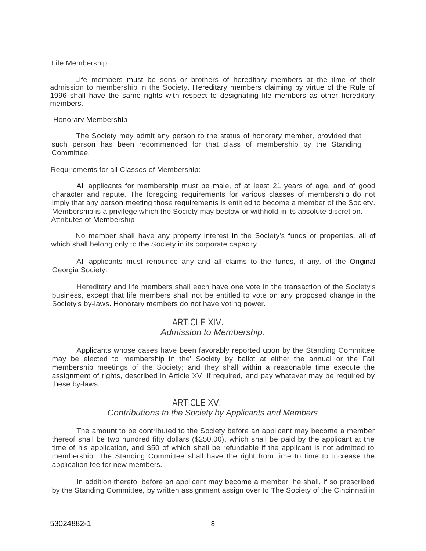#### Life Membership

Life members must be sons or brothers of hereditary members at the time of their admission to membership in the Society. Hereditary members claiming by virtue of the Rule of 1996 shall have the same rights with respect to designating life members as other hereditary members.

#### Honorary Membership

The Society may admit any person to the status of honorary member, provided that such person has been recommended for that class of membership by the Standing Committee.

#### Requirements for all Classes of Membership:

All applicants for membership must be male, of at least 21 years of age, and of good character and repute. The foregoing requirements for various classes of membership do not imply that any person meeting those requirements is entitled to become a member of the Society. Membership is a privilege which the Society may bestow or withhold in its absolute discretion. Attributes of Membership

No member shall have any property interest in the Society's funds or properties, all of which shall belong only to the Society in its corporate capacity.

All applicants must renounce any and all claims to the funds, if any, of the Original Georgia Society.

Hereditary and life members shall each have one vote in the transaction of the Society's business, except that life members shall not be entitled to vote on any proposed change in the Society's by-laws. Honorary members do not have voting power.

### ARTICLE XIV. *Admission to Membership.*

Applicants whose cases have been favorably reported upon by the Standing Committee may be elected to membership in the' Society by ballot at either the annual or the Fall membership meetings of the Society; and they shall within a reasonable time execute the assignment of rights, described in Article XV, if required, and pay whatever may be required by

# ARTICLE XV.

### *Contributions to the Society by Applicants and Members*

The amount to be contributed to the Society before an applicant may become a member thereof shall be two hundred fifty dollars (\$250.00), which shall be paid by the applicant at the time of his application, and \$50 of which shall be refundable if the applicant is not admitted to membership. The Standing Committee shall have the right from time to time to increase the application fee for new members.

In addition thereto, before an applicant may become a member, he shall, if so prescribed by the Standing Committee, by written assignment assign over to The Society of the Cincinnati in

these by-laws.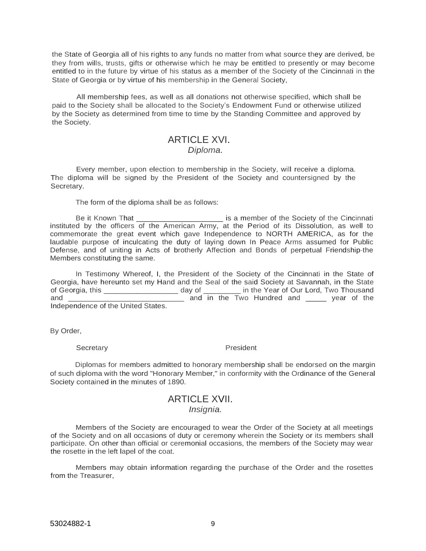the State of Georgia all of his rights to any funds no matter from what source they are derived, be they from wills, trusts, gifts or otherwise which he may be entitled to presently or may become entitled to in the future by virtue of his status as a member of the Society of the Cincinnati in the State of Georgia or by virtue of his membership in the General Society,

All membership fees, as well as all donations not otherwise specified, which shall be paid to the Society shall be allocated to the Society's Endowment Fund or otherwise utilized by the Society as determined from time to time by the Standing Committee and approved by the Society.

# ARTICLE XVI. *Diploma.*

Every member, upon election to membership in the Society, will receive a diploma. The diploma will be signed by the President of the Society and countersigned by the Secretary.

The form of the diploma shall be as follows:

Be it Known That \_\_\_\_\_\_\_\_\_\_\_\_\_\_\_\_\_\_\_\_\_ is a member of the Society of the Cincinnati instituted by the officers of the American Army, at the Period of its Dissolution, as well to commemorate the great event which gave Independence to NORTH AMERICA, as for the laudable purpose of inculcating the duty of laying down In Peace Arms assumed for Public Defense, and of uniting in Acts of brotherly Affection and Bonds of perpetual Friendship-the Members constituting the same.

In Testimony Whereof, I, the President of the Society of the Cincinnati in the State of Georgia, have hereunto set my Hand and the Seal of the said Society at Savannah, in the State of Georgia, this \_\_\_\_\_\_\_\_\_\_\_\_\_\_\_\_\_\_ day of \_\_\_\_\_\_\_\_\_ in the Year of Our Lord, Two Thousand and \_\_\_\_\_\_\_\_\_\_\_\_\_\_\_\_\_\_\_\_\_\_\_\_\_\_\_\_ and in the Two Hundred and \_\_\_\_\_ year of the Independence of the United States.

By Order,

Secretary **President** 

Diplomas for members admitted to honorary membership shall be endorsed on the margin of such diploma with the word "Honorary Member," in conformity with the Ordinance of the General Society contained in the minutes of 1890.

## ARTICLE XVII. *Insignia.*

Members of the Society are encouraged to wear the Order of the Society at all meetings of the Society and on all occasions of duty or ceremony wherein the Society or its members shall participate. On other than official or ceremonial occasions, the members of the Society may wear the rosette in the left lapel of the coat.

Members may obtain information regarding the purchase of the Order and the rosettes from the Treasurer,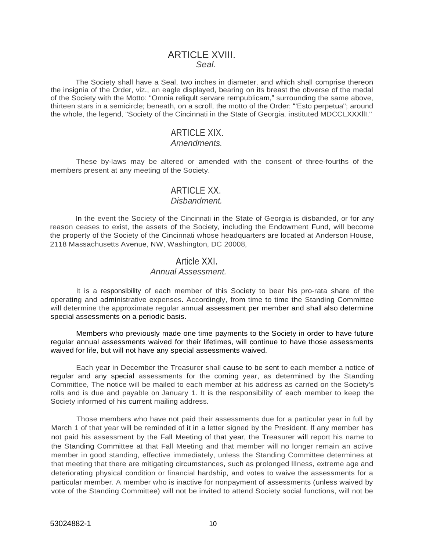### ARTICLE XVIII. *Seal.*

The Society shall have a Seal, two inches in diameter, and which shall comprise thereon the insignia of the Order, viz., an eagle displayed, bearing on its breast the obverse of the medal of the Society with the Motto: "Omnia reliqult servare rempublicam," surrounding the same above, thirteen stars in a semicircle; beneath, on a scroll, the motto of the Order: "'Esto perpetua"; around the whole, the legend, "Society of the Cincinnati in the State of Georgia. instituted MDCCLXXXllI."

## ARTICLE XIX.

### *Amendments.*

These by-laws may be altered or amended with the consent of three-fourths of the members present at any meeting of the Society.

# ARTICLE XX.

### *Disbandment.*

In the event the Society of the Cincinnati in the State of Georgia is disbanded, or for any reason ceases to exist, the assets of the Society, including the Endowment Fund, will become the property of the Society of the Cincinnati whose headquarters are located at Anderson House, 2118 Massachusetts Avenue, NW, Washington, DC 20008,

### Article XXI.

### *Annual Assessment.*

It is a responsibility of each member of this Society to bear his pro-rata share of the operating and administrative expenses. Accordingly, from time to time the Standing Committee will determine the approximate regular annual assessment per member and shall also determine special assessments on a periodic basis.

Members who previously made one time payments to the Society in order to have future regular annual assessments waived for their lifetimes, will continue to have those assessments waived for life, but will not have any special assessments waived.

Each year in December the Treasurer shall cause to be sent to each member a notice of regular and any special assessments for the coming year, as determined by the Standing Committee, The notice will be mailed to each member at his address as carried on the Society's rolls and is due and payable on January 1. It is the responsibility of each member to keep the Society informed of his current mailing address.

Those members who have not paid their assessments due for a particular year in full by March 1 of that year will be reminded of it in a letter signed by the President. If any member has not paid his assessment by the Fall Meeting of that year, the Treasurer will report his name to the Standing Committee at that Fall Meeting and that member will no longer remain an active member in good standing, effective immediately, unless the Standing Committee determines at that meeting that there are mitigating circumstances, such as prolonged Illness, extreme age and deteriorating physical condition or financial hardship, and votes to waive the assessments for a particular member. A member who is inactive for nonpayment of assessments (unless waived by vote of the Standing Committee) will not be invited to attend Society social functions, will not be